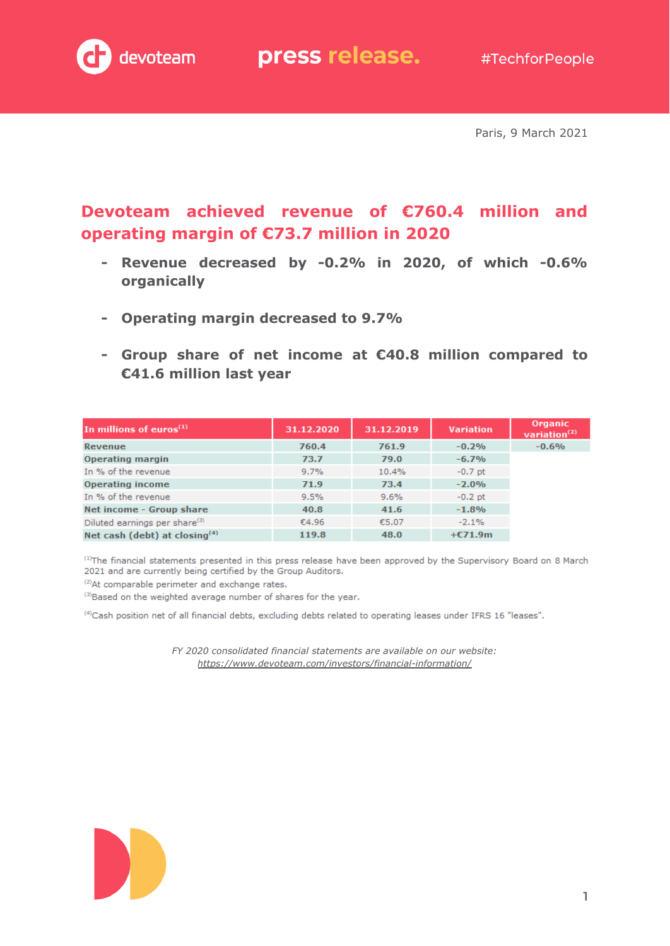

Paris, 9 March 2021

### **Devoteam achieved revenue of €760.4 million and operating margin of €73.7 million in 2020**

- **- Revenue decreased by -0.2% in 2020, of which -0.6% organically**
- **- Operating margin decreased to 9.7%**
- **- Group share of net income at €40.8 million compared to €41.6 million last year**

| In millions of euros $(1)$                | 31.12.2020 | 31.12.2019 | <b>Variation</b> | Organic<br>variation <sup>(2)</sup> |
|-------------------------------------------|------------|------------|------------------|-------------------------------------|
| Revenue                                   | 760.4      | 761.9      | $-0.2%$          | $-0.6%$                             |
| <b>Operating margin</b>                   | 73.7       | 79.0       | $-6.7%$          |                                     |
| In % of the revenue                       | 9.7%       | 10.4%      | $-0.7$ pt        |                                     |
| <b>Operating income</b>                   | 71.9       | 73.4       | $-2.0%$          |                                     |
| In % of the revenue                       | 9.5%       | 9.6%       | $-0.2$ pt        |                                     |
| Net income - Group share                  | 40.8       | 41.6       | $-1.8%$          |                                     |
| Diluted earnings per share <sup>(3)</sup> | €4.96      | €5.07      | $-2.1%$          |                                     |
| Net cash (debt) at closing $(4)$          | 119.8      | 48.0       | $+E71.9m$        |                                     |

<sup>(1)</sup>The financial statements presented in this press release have been approved by the Supervisory Board on 8 March 2021 and are currently being certified by the Group Auditors.

<sup>(2)</sup>At comparable perimeter and exchange rates.

(3) Based on the weighted average number of shares for the year.

(4) Cash position net of all financial debts, excluding debts related to operating leases under IFRS 16 "leases".

*FY 2020 consolidated financial statements are available on our website: <https://www.devoteam.com/investors/financial-information/>*

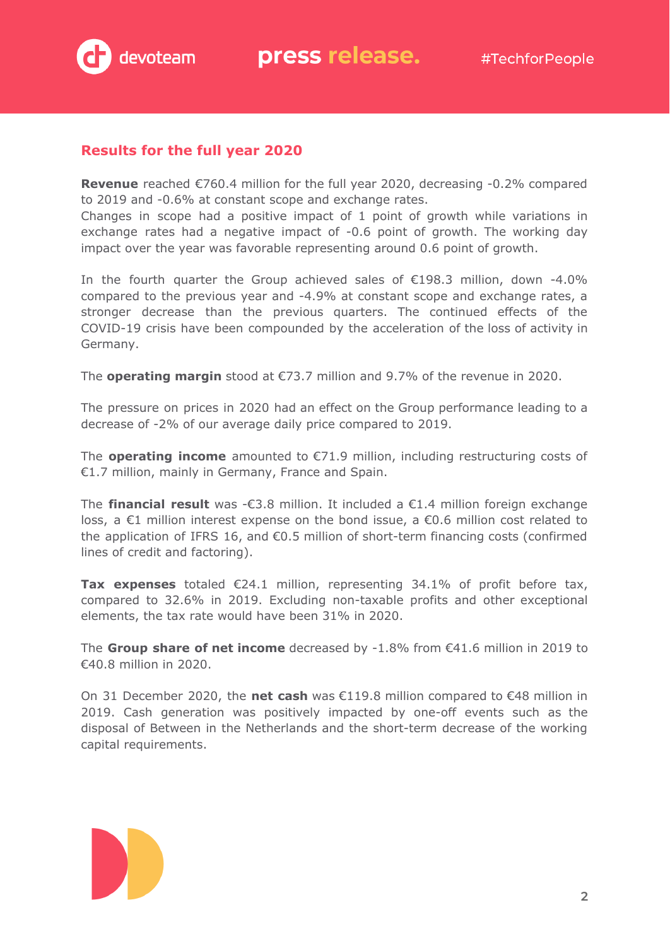

#### **Results for the full year 2020**

**Revenue** reached €760.4 million for the full year 2020, decreasing -0.2% compared to 2019 and -0.6% at constant scope and exchange rates.

Changes in scope had a positive impact of 1 point of growth while variations in exchange rates had a negative impact of -0.6 point of growth. The working day impact over the year was favorable representing around 0.6 point of growth.

In the fourth quarter the Group achieved sales of  $E198.3$  million, down -4.0% compared to the previous year and -4.9% at constant scope and exchange rates, a stronger decrease than the previous quarters. The continued effects of the COVID-19 crisis have been compounded by the acceleration of the loss of activity in Germany.

The **operating margin** stood at €73.7 million and 9.7% of the revenue in 2020.

The pressure on prices in 2020 had an effect on the Group performance leading to a decrease of -2% of our average daily price compared to 2019.

The **operating income** amounted to €71.9 million, including restructuring costs of €1.7 million, mainly in Germany, France and Spain.

The **financial result** was -€3.8 million. It included a €1.4 million foreign exchange loss, a  $\epsilon$ 1 million interest expense on the bond issue, a  $\epsilon$ 0.6 million cost related to the application of IFRS 16, and  $\epsilon$ 0.5 million of short-term financing costs (confirmed lines of credit and factoring).

**Tax expenses** totaled €24.1 million, representing 34.1% of profit before tax, compared to 32.6% in 2019. Excluding non-taxable profits and other exceptional elements, the tax rate would have been 31% in 2020.

The **Group share of net income** decreased by -1.8% from €41.6 million in 2019 to €40.8 million in 2020.

On 31 December 2020, the **net cash** was €119.8 million compared to €48 million in 2019. Cash generation was positively impacted by one-off events such as the disposal of Between in the Netherlands and the short-term decrease of the working capital requirements.

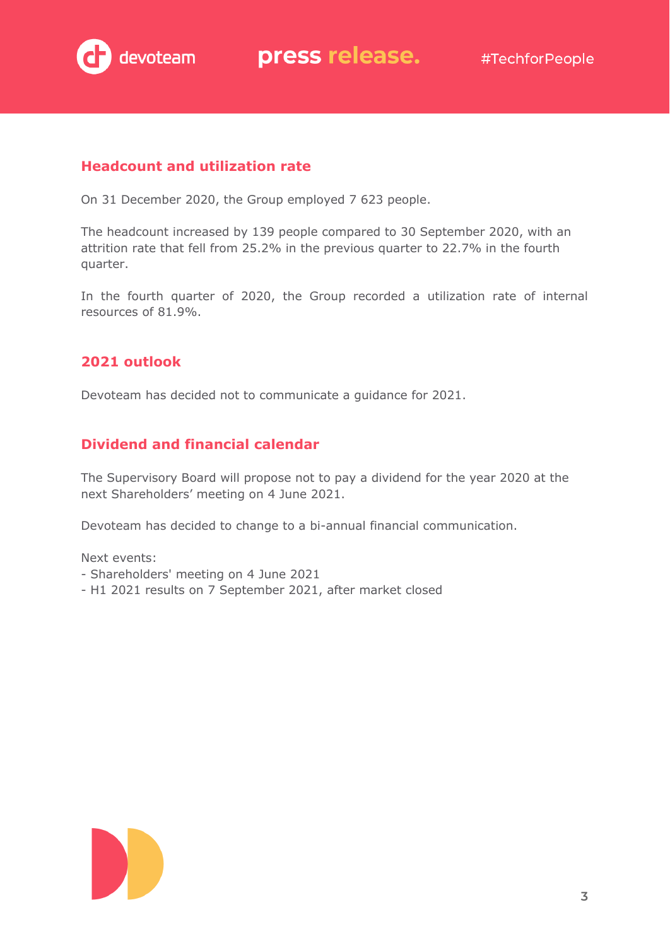

#### **Headcount and utilization rate**

On 31 December 2020, the Group employed 7 623 people.

The headcount increased by 139 people compared to 30 September 2020, with an attrition rate that fell from 25.2% in the previous quarter to 22.7% in the fourth quarter.

In the fourth quarter of 2020, the Group recorded a utilization rate of internal resources of 81.9%.

#### **2021 outlook**

Devoteam has decided not to communicate a guidance for 2021.

#### **Dividend and financial calendar**

The Supervisory Board will propose not to pay a dividend for the year 2020 at the next Shareholders' meeting on 4 June 2021.

Devoteam has decided to change to a bi-annual financial communication.

Next events:

- Shareholders' meeting on 4 June 2021
- H1 2021 results on 7 September 2021, after market closed

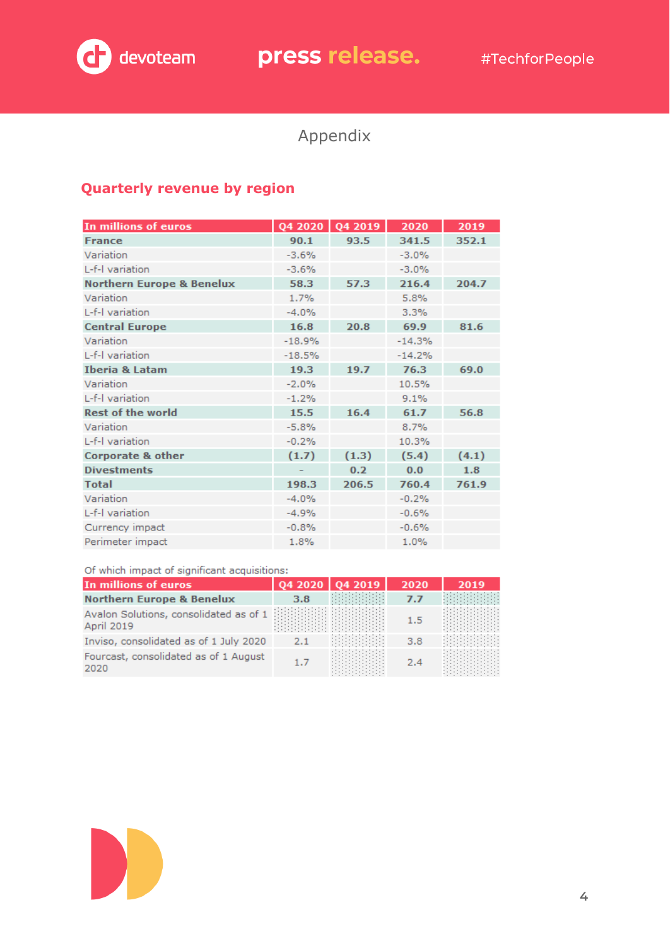

# devoteam press release. #TechforPeople

## Appendix

#### **Quarterly revenue by region**

| In millions of euros                 |          | Q4 2020 Q4 2019 | 2020     | 2019  |
|--------------------------------------|----------|-----------------|----------|-------|
| <b>France</b>                        | 90.1     | 93.5            | 341.5    | 352.1 |
| Variation                            | $-3.6%$  |                 | $-3.0%$  |       |
| L-f-I variation                      | $-3.6%$  |                 | $-3.0%$  |       |
| <b>Northern Europe &amp; Benelux</b> | 58.3     | 57.3            | 216.4    | 204.7 |
| Variation                            | 1.7%     |                 | 5.8%     |       |
| L-f-I variation                      | $-4.0%$  |                 | 3.3%     |       |
| <b>Central Europe</b>                | 16.8     | 20.8            | 69.9     | 81.6  |
| Variation                            | $-18.9%$ |                 | $-14.3%$ |       |
| L-f-I variation                      | $-18.5%$ |                 | $-14.2%$ |       |
| <b>Iberia &amp; Latam</b>            | 19.3     | 19.7            | 76.3     | 69.0  |
| Variation                            | $-2.0%$  |                 | 10.5%    |       |
| L-f-Lvariation                       | $-1.2%$  |                 | 9.1%     |       |
| <b>Rest of the world</b>             | 15.5     | 16.4            | 61.7     | 56.8  |
| Variation                            | $-5.8%$  |                 | 8.7%     |       |
| L-f-I variation                      | $-0.2%$  |                 | 10.3%    |       |
| <b>Corporate &amp; other</b>         | (1.7)    | (1.3)           | (5.4)    | (4.1) |
| <b>Divestments</b>                   |          | 0.2             | 0.0      | 1.8   |
| <b>Total</b>                         | 198.3    | 206.5           | 760.4    | 761.9 |
| Variation                            | $-4.0%$  |                 | $-0.2%$  |       |
| L-f-I variation                      | $-4.9%$  |                 | $-0.6%$  |       |
| Currency impact                      | $-0.8%$  |                 | $-0.6%$  |       |
| Perimeter impact                     | 1.8%     |                 | 1.0%     |       |

#### Of which impact of significant acquisitions:

| In millions of euros                                        |     | Q4 2020   Q4 2019 | 2020 | 2019 |
|-------------------------------------------------------------|-----|-------------------|------|------|
| <b>Northern Europe &amp; Benelux</b>                        | 3.8 |                   | 7.7  |      |
| Avalon Solutions, consolidated as of 1<br><b>April 2019</b> |     |                   | 1.5  |      |
| Inviso, consolidated as of 1 July 2020                      | 2.1 |                   | 3.8  |      |
| Fourcast, consolidated as of 1 August<br>2020               | 1.7 |                   | 2.4  |      |

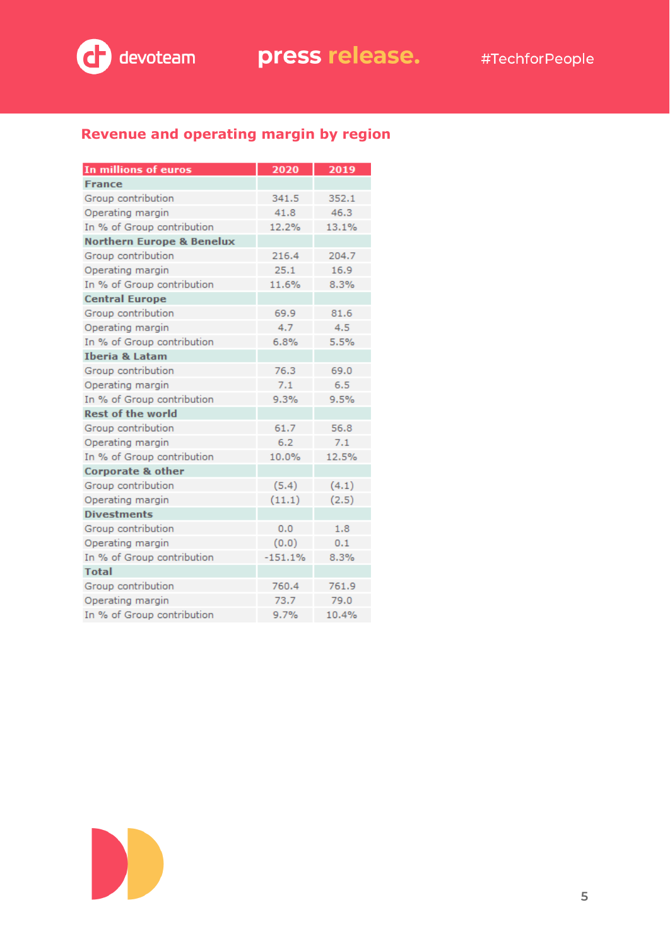

### **Revenue and operating margin by region**

| In millions of euros                 | 2020      | 2019  |
|--------------------------------------|-----------|-------|
| <b>France</b>                        |           |       |
| Group contribution                   | 341.5     | 352.1 |
| Operating margin                     | 41.8      | 46.3  |
| In % of Group contribution           | 12.2%     | 13.1% |
| <b>Northern Europe &amp; Benelux</b> |           |       |
| Group contribution                   | 216.4     | 204.7 |
| Operating margin                     | 25.1      | 16.9  |
| In % of Group contribution           | 11.6%     | 8.3%  |
| <b>Central Europe</b>                |           |       |
| Group contribution                   | 69.9      | 81.6  |
| Operating margin                     | 4.7       | 4.5   |
| In % of Group contribution           | 6.8%      | 5.5%  |
| <b>Iberia &amp; Latam</b>            |           |       |
| Group contribution                   | 76.3      | 69.0  |
| Operating margin                     | 7.1       | 6.5   |
| In % of Group contribution           | 9.3%      | 9.5%  |
| <b>Rest of the world</b>             |           |       |
| Group contribution                   | 61.7      | 56.8  |
| Operating margin                     | 6.2       | 7.1   |
| In % of Group contribution           | 10.0%     | 12.5% |
| Corporate & other                    |           |       |
| Group contribution                   | (5.4)     | (4.1) |
| Operating margin                     | (11.1)    | (2.5) |
| <b>Divestments</b>                   |           |       |
| Group contribution                   | 0.0       | 1.8   |
| Operating margin                     | (0.0)     | 0.1   |
| In % of Group contribution           | $-151.1%$ | 8.3%  |
| <b>Total</b>                         |           |       |
| Group contribution                   | 760.4     | 761.9 |
| Operating margin                     | 73.7      | 79.0  |
| In % of Group contribution           | 9.7%      | 10.4% |

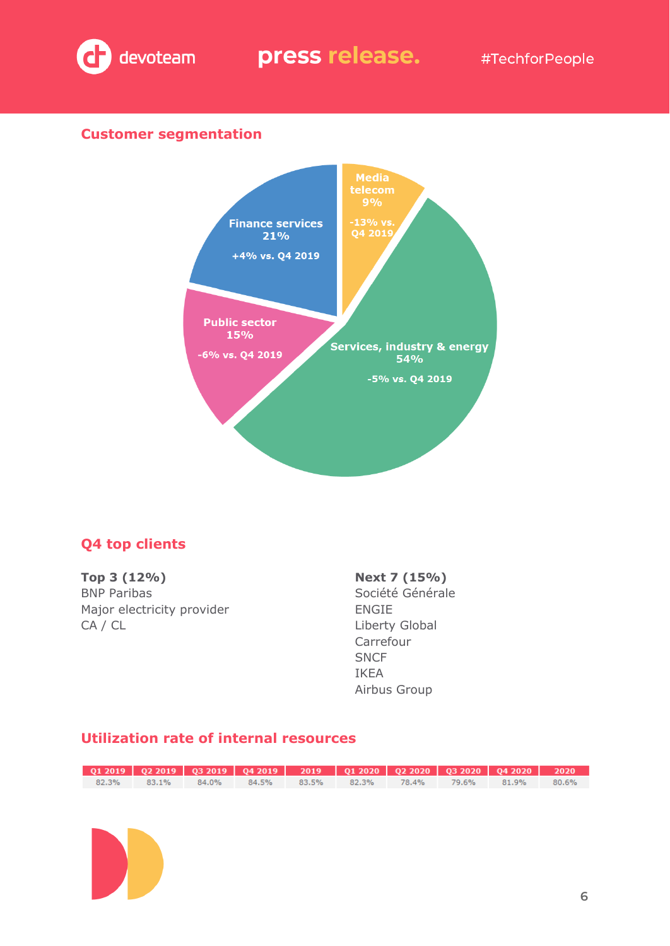

#### **Customer segmentation**



#### **Q4 top clients**

**Top 3 (12%)** BNP Paribas Major electricity provider CA / CL

#### **Next 7 (15%)**

Société Générale ENGIE Liberty Global Carrefour **SNCF** IKEA Airbus Group

### **Utilization rate of internal resources**

| $Q1\ 2019$ $Q2\ 2019$ $Q3\ 2019$ $Q4\ 2019$ $2019$ $Q1\ 2020$ $Q2\ 2020$ $Q3\ 2020$ $Q4\ 2020$ $2020$ |                                                             |  |  |  |  |
|-------------------------------------------------------------------------------------------------------|-------------------------------------------------------------|--|--|--|--|
|                                                                                                       | 82.3% 83.1% 84.0% 84.5% 83.5% 82.3% 78.4% 79.6% 81.9% 80.6% |  |  |  |  |
|                                                                                                       |                                                             |  |  |  |  |

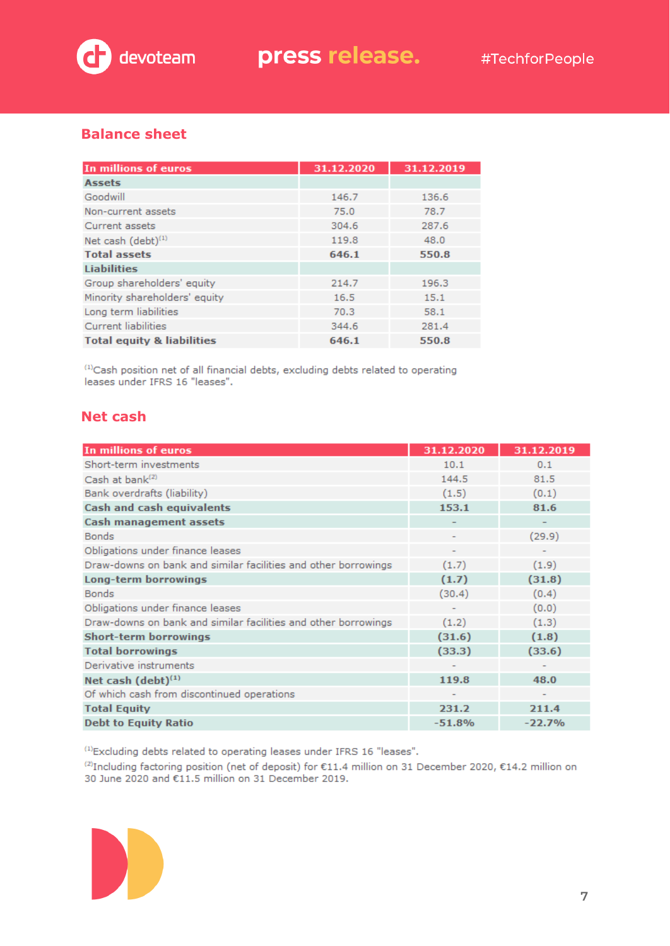

#### **Balance sheet**

| In millions of euros                  | 31.12.2020 | 31.12.2019 |
|---------------------------------------|------------|------------|
| <b>Assets</b>                         |            |            |
| Goodwill                              | 146.7      | 136.6      |
| Non-current assets                    | 75.0       | 78.7       |
| Current assets                        | 304.6      | 287.6      |
| Net cash $(\text{debt})^{(1)}$        | 119.8      | 48.0       |
| <b>Total assets</b>                   | 646.1      | 550.8      |
| <b>Liabilities</b>                    |            |            |
| Group shareholders' equity            | 214.7      | 196.3      |
| Minority shareholders' equity         | 16.5       | 15.1       |
| Long term liabilities                 | 70.3       | 58.1       |
| <b>Current liabilities</b>            | 344.6      | 281.4      |
| <b>Total equity &amp; liabilities</b> | 646.1      | 550.8      |

<sup>(1)</sup>Cash position net of all financial debts, excluding debts related to operating leases under IFRS 16 "leases".

#### **Net cash**

| In millions of euros                                           | 31.12.2020               | 31.12.2019 |
|----------------------------------------------------------------|--------------------------|------------|
| Short-term investments                                         | 10.1                     | 0.1        |
| Cash at bank <sup>(2)</sup>                                    | 144.5                    | 81.5       |
| Bank overdrafts (liability)                                    | (1.5)                    | (0.1)      |
| <b>Cash and cash equivalents</b>                               | 153.1                    | 81.6       |
| <b>Cash management assets</b>                                  |                          |            |
| <b>Bonds</b>                                                   | $\overline{\phantom{a}}$ | (29.9)     |
| Obligations under finance leases                               | ٠                        |            |
| Draw-downs on bank and similar facilities and other borrowings | (1.7)                    | (1.9)      |
| Long-term borrowings                                           | (1.7)                    | (31.8)     |
| <b>Bonds</b>                                                   | (30.4)                   | (0.4)      |
| Obligations under finance leases                               |                          | (0.0)      |
| Draw-downs on bank and similar facilities and other borrowings | (1.2)                    | (1.3)      |
| <b>Short-term borrowings</b>                                   | (31.6)                   | (1.8)      |
| <b>Total borrowings</b>                                        | (33.3)                   | (33.6)     |
| Derivative instruments                                         |                          |            |
| Net cash $(debt)^{(1)}$                                        | 119.8                    | 48.0       |
| Of which cash from discontinued operations                     |                          |            |
| <b>Total Equity</b>                                            | 231.2                    | 211.4      |
| <b>Debt to Equity Ratio</b>                                    | $-51.8%$                 | $-22.7%$   |

<sup>(1)</sup>Excluding debts related to operating leases under IFRS 16 "leases".

<sup>(2)</sup>Including factoring position (net of deposit) for €11.4 million on 31 December 2020, €14.2 million on 30 June 2020 and €11.5 million on 31 December 2019.

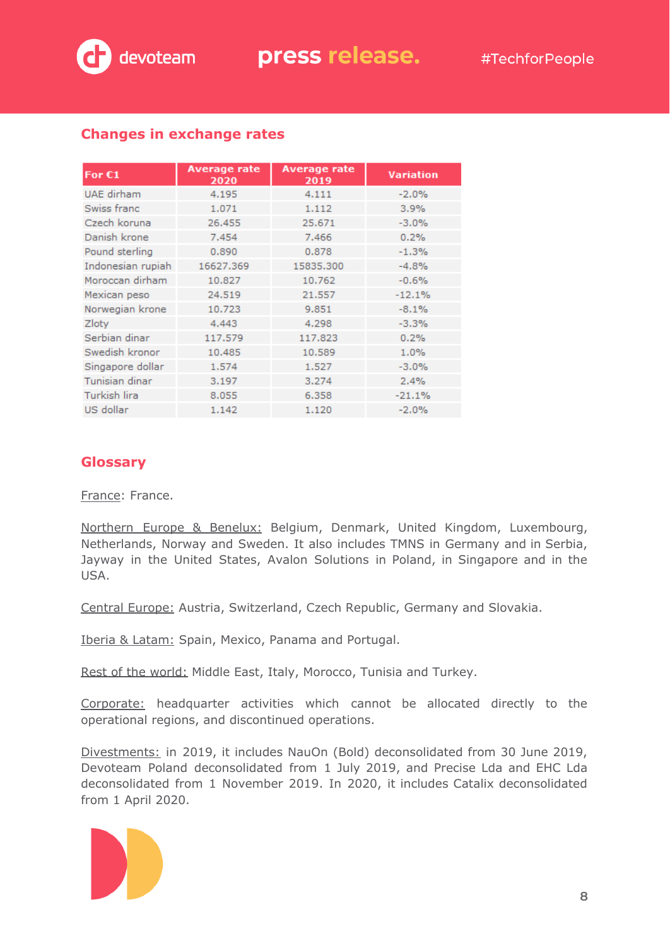

| For $E1$          | <b>Average rate</b><br>2020 | <b>Average rate</b><br>2019 | <b>Variation</b> |
|-------------------|-----------------------------|-----------------------------|------------------|
| UAE dirham        | 4.195                       | 4.111                       | $-2.0%$          |
| Swiss franc       | 1.071                       | 1.112                       | 3.9%             |
| Czech koruna      | 26,455                      | 25.671                      | $-3.0%$          |
| Danish krone      | 7.454                       | 7.466                       | 0.2%             |
| Pound sterling    | 0.890                       | 0.878                       | $-1.3%$          |
| Indonesian rupiah | 16627.369                   | 15835.300                   | $-4.8%$          |
| Moroccan dirham   | 10.827                      | 10.762                      | $-0.6%$          |
| Mexican peso      | 24.519                      | 21.557                      | $-12.1%$         |
| Norwegian krone   | 10.723                      | 9.851                       | $-8.1%$          |
| Zloty             | 4.443                       | 4.298                       | $-3.3%$          |
| Serbian dinar     | 117.579                     | 117.823                     | 0.2%             |
| Swedish kronor    | 10.485                      | 10.589                      | 1.0%             |
| Singapore dollar  | 1.574                       | 1.527                       | $-3.0%$          |
| Tunisian dinar    | 3.197                       | 3.274                       | 2.4%             |
| Turkish lira      | 8.055                       | 6.358                       | $-21.1%$         |
| US dollar         | 1.142                       | 1,120                       | $-2.0%$          |

#### **Changes in exchange rates**

#### **Glossary**

France: France.

Northern Europe & Benelux: Belgium, Denmark, United Kingdom, Luxembourg, Netherlands, Norway and Sweden. It also includes TMNS in Germany and in Serbia, Jayway in the United States, Avalon Solutions in Poland, in Singapore and in the USA.

Central Europe: Austria, Switzerland, Czech Republic, Germany and Slovakia.

Iberia & Latam: Spain, Mexico, Panama and Portugal.

Rest of the world: Middle East, Italy, Morocco, Tunisia and Turkey.

Corporate: headquarter activities which cannot be allocated directly to the operational regions, and discontinued operations.

Divestments: in 2019, it includes NauOn (Bold) deconsolidated from 30 June 2019, Devoteam Poland deconsolidated from 1 July 2019, and Precise Lda and EHC Lda deconsolidated from 1 November 2019. In 2020, it includes Catalix deconsolidated from 1 April 2020.

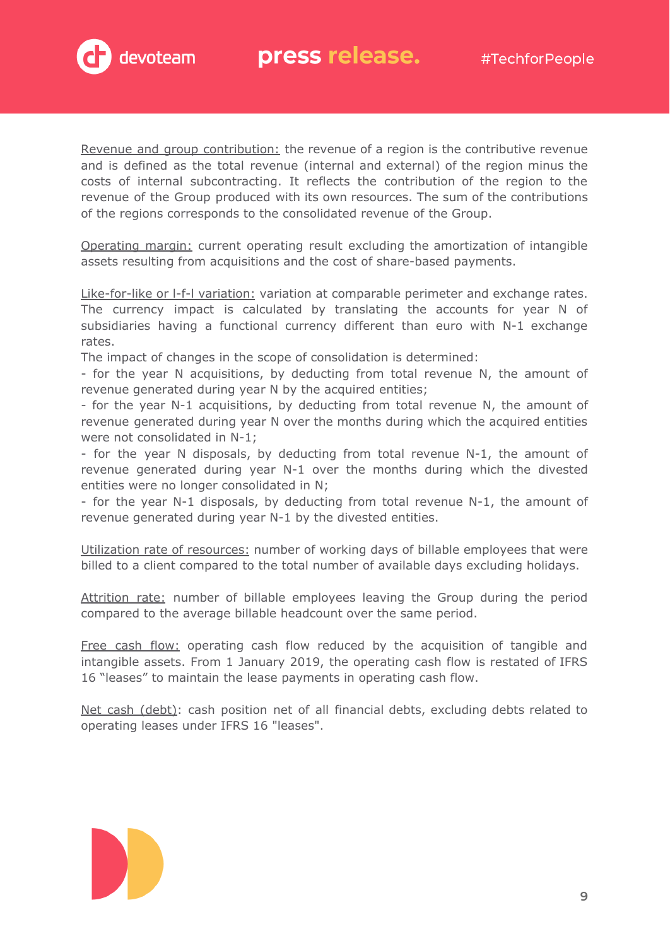

Revenue and group contribution: the revenue of a region is the contributive revenue and is defined as the total revenue (internal and external) of the region minus the costs of internal subcontracting. It reflects the contribution of the region to the revenue of the Group produced with its own resources. The sum of the contributions of the regions corresponds to the consolidated revenue of the Group.

Operating margin: current operating result excluding the amortization of intangible assets resulting from acquisitions and the cost of share-based payments.

Like-for-like or I-f-I variation: variation at comparable perimeter and exchange rates. The currency impact is calculated by translating the accounts for year N of subsidiaries having a functional currency different than euro with N-1 exchange rates.

The impact of changes in the scope of consolidation is determined:

- for the year N acquisitions, by deducting from total revenue N, the amount of revenue generated during year N by the acquired entities;

- for the year N-1 acquisitions, by deducting from total revenue N, the amount of revenue generated during year N over the months during which the acquired entities were not consolidated in N-1;

- for the year N disposals, by deducting from total revenue N-1, the amount of revenue generated during year N-1 over the months during which the divested entities were no longer consolidated in N;

- for the year N-1 disposals, by deducting from total revenue N-1, the amount of revenue generated during year N-1 by the divested entities.

Utilization rate of resources: number of working days of billable employees that were billed to a client compared to the total number of available days excluding holidays.

Attrition rate: number of billable employees leaving the Group during the period compared to the average billable headcount over the same period.

Free cash flow: operating cash flow reduced by the acquisition of tangible and intangible assets. From 1 January 2019, the operating cash flow is restated of IFRS 16 "leases" to maintain the lease payments in operating cash flow.

Net cash (debt): cash position net of all financial debts, excluding debts related to operating leases under IFRS 16 "leases".